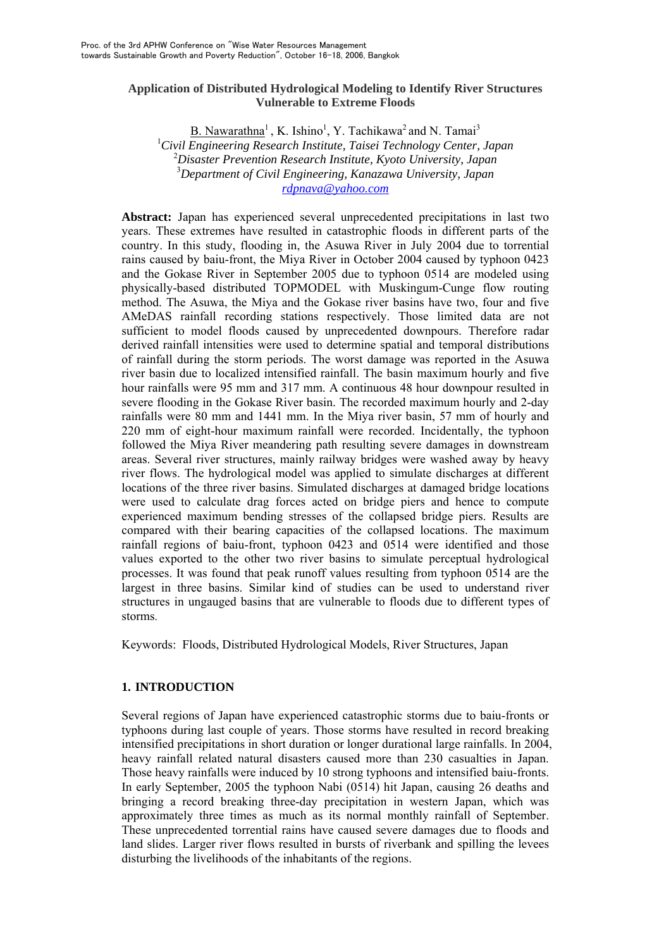## **Application of Distributed Hydrological Modeling to Identify River Structures Vulnerable to Extreme Floods**

B. Nawarathna<sup>1</sup>, K. Ishino<sup>1</sup>, Y. Tachikawa<sup>2</sup> and N. Tamai<sup>3</sup> 1 *Civil Engineering Research Institute, Taisei Technology Center, Japan*  2 *Disaster Prevention Research Institute, Kyoto University, Japan* 3 *Department of Civil Engineering, Kanazawa University, Japan rdpnava@yahoo.com*

**Abstract:** Japan has experienced several unprecedented precipitations in last two years. These extremes have resulted in catastrophic floods in different parts of the country. In this study, flooding in, the Asuwa River in July 2004 due to torrential rains caused by baiu-front, the Miya River in October 2004 caused by typhoon 0423 and the Gokase River in September 2005 due to typhoon 0514 are modeled using physically-based distributed TOPMODEL with Muskingum-Cunge flow routing method. The Asuwa, the Miya and the Gokase river basins have two, four and five AMeDAS rainfall recording stations respectively. Those limited data are not sufficient to model floods caused by unprecedented downpours. Therefore radar derived rainfall intensities were used to determine spatial and temporal distributions of rainfall during the storm periods. The worst damage was reported in the Asuwa river basin due to localized intensified rainfall. The basin maximum hourly and five hour rainfalls were 95 mm and 317 mm. A continuous 48 hour downpour resulted in severe flooding in the Gokase River basin. The recorded maximum hourly and 2-day rainfalls were 80 mm and 1441 mm. In the Miya river basin, 57 mm of hourly and 220 mm of eight-hour maximum rainfall were recorded. Incidentally, the typhoon followed the Miya River meandering path resulting severe damages in downstream areas. Several river structures, mainly railway bridges were washed away by heavy river flows. The hydrological model was applied to simulate discharges at different locations of the three river basins. Simulated discharges at damaged bridge locations were used to calculate drag forces acted on bridge piers and hence to compute experienced maximum bending stresses of the collapsed bridge piers. Results are compared with their bearing capacities of the collapsed locations. The maximum rainfall regions of baiu-front, typhoon 0423 and 0514 were identified and those values exported to the other two river basins to simulate perceptual hydrological processes. It was found that peak runoff values resulting from typhoon 0514 are the largest in three basins. Similar kind of studies can be used to understand river structures in ungauged basins that are vulnerable to floods due to different types of storms.

Keywords: Floods, Distributed Hydrological Models, River Structures, Japan

# **1. INTRODUCTION**

Several regions of Japan have experienced catastrophic storms due to baiu-fronts or typhoons during last couple of years. Those storms have resulted in record breaking intensified precipitations in short duration or longer durational large rainfalls. In 2004, heavy rainfall related natural disasters caused more than 230 casualties in Japan. Those heavy rainfalls were induced by 10 strong typhoons and intensified baiu-fronts. In early September, 2005 the typhoon Nabi (0514) hit Japan, causing 26 deaths and bringing a record breaking three-day precipitation in western Japan, which was approximately three times as much as its normal monthly rainfall of September. These unprecedented torrential rains have caused severe damages due to floods and land slides. Larger river flows resulted in bursts of riverbank and spilling the levees disturbing the livelihoods of the inhabitants of the regions.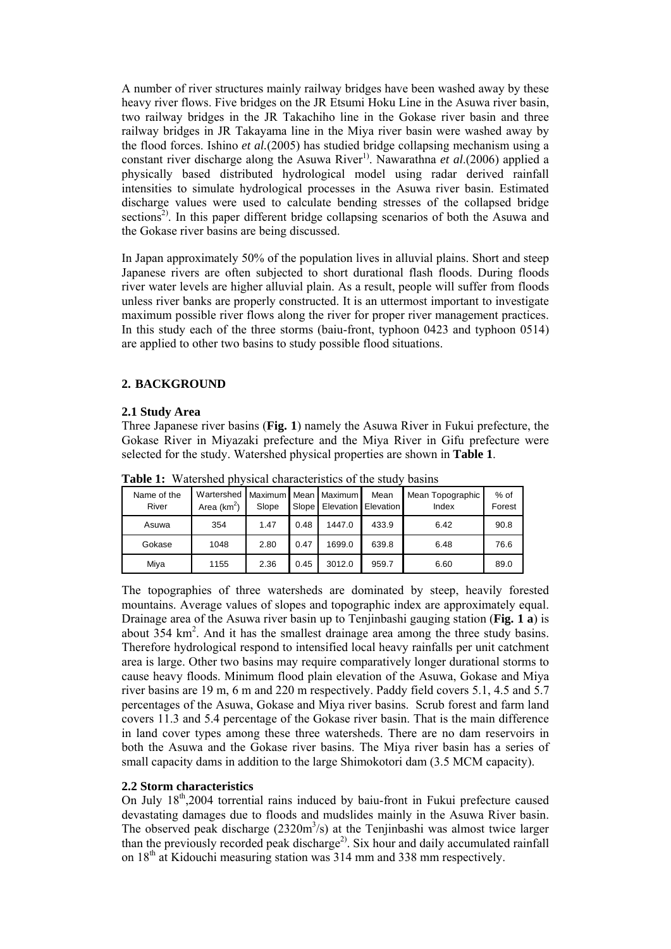A number of river structures mainly railway bridges have been washed away by these heavy river flows. Five bridges on the JR Etsumi Hoku Line in the Asuwa river basin, two railway bridges in the JR Takachiho line in the Gokase river basin and three railway bridges in JR Takayama line in the Miya river basin were washed away by the flood forces. Ishino *et al.*(2005) has studied bridge collapsing mechanism using a constant river discharge along the Asuwa River<sup>1)</sup>. Nawarathna *et al.*(2006) applied a physically based distributed hydrological model using radar derived rainfall intensities to simulate hydrological processes in the Asuwa river basin. Estimated discharge values were used to calculate bending stresses of the collapsed bridge sections<sup>2)</sup>. In this paper different bridge collapsing scenarios of both the Asuwa and the Gokase river basins are being discussed.

In Japan approximately 50% of the population lives in alluvial plains. Short and steep Japanese rivers are often subjected to short durational flash floods. During floods river water levels are higher alluvial plain. As a result, people will suffer from floods unless river banks are properly constructed. It is an uttermost important to investigate maximum possible river flows along the river for proper river management practices. In this study each of the three storms (baiu-front, typhoon 0423 and typhoon 0514) are applied to other two basins to study possible flood situations.

# **2. BACKGROUND**

## **2.1 Study Area**

Three Japanese river basins (**Fig. 1**) namely the Asuwa River in Fukui prefecture, the Gokase River in Miyazaki prefecture and the Miya River in Gifu prefecture were selected for the study. Watershed physical properties are shown in **Table 1**.

| Name of the<br>River | Wartershed   Maximum<br>Area $(km^2)$ | Slope | Slope | Mean Maximum<br>Elevation | Mean<br><b>Elevation</b> | Mean Topographic<br>Index | $%$ of<br>Forest |
|----------------------|---------------------------------------|-------|-------|---------------------------|--------------------------|---------------------------|------------------|
| Asuwa                | 354                                   | 1.47  | 0.48  | 1447.0                    | 433.9                    | 6.42                      | 90.8             |
| Gokase               | 1048                                  | 2.80  | 0.47  | 1699.0                    | 639.8                    | 6.48                      | 76.6             |
| Miya                 | 1155                                  | 2.36  | 0.45  | 3012.0                    | 959.7                    | 6.60                      | 89.0             |

**Table 1:** Watershed physical characteristics of the study basins

The topographies of three watersheds are dominated by steep, heavily forested mountains. Average values of slopes and topographic index are approximately equal. Drainage area of the Asuwa river basin up to Tenjinbashi gauging station (**Fig. 1 a**) is about 354 km<sup>2</sup>. And it has the smallest drainage area among the three study basins. Therefore hydrological respond to intensified local heavy rainfalls per unit catchment area is large. Other two basins may require comparatively longer durational storms to cause heavy floods. Minimum flood plain elevation of the Asuwa, Gokase and Miya river basins are 19 m, 6 m and 220 m respectively. Paddy field covers 5.1, 4.5 and 5.7 percentages of the Asuwa, Gokase and Miya river basins. Scrub forest and farm land covers 11.3 and 5.4 percentage of the Gokase river basin. That is the main difference in land cover types among these three watersheds. There are no dam reservoirs in both the Asuwa and the Gokase river basins. The Miya river basin has a series of small capacity dams in addition to the large Shimokotori dam (3.5 MCM capacity).

## **2.2 Storm characteristics**

On July 18th,2004 torrential rains induced by baiu-front in Fukui prefecture caused devastating damages due to floods and mudslides mainly in the Asuwa River basin. The observed peak discharge  $(2320m^3/s)$  at the Tenjinbashi was almost twice larger than the previously recorded peak discharge<sup>2)</sup>. Six hour and daily accumulated rainfall on 18<sup>th</sup> at Kidouchi measuring station was 314 mm and 338 mm respectively.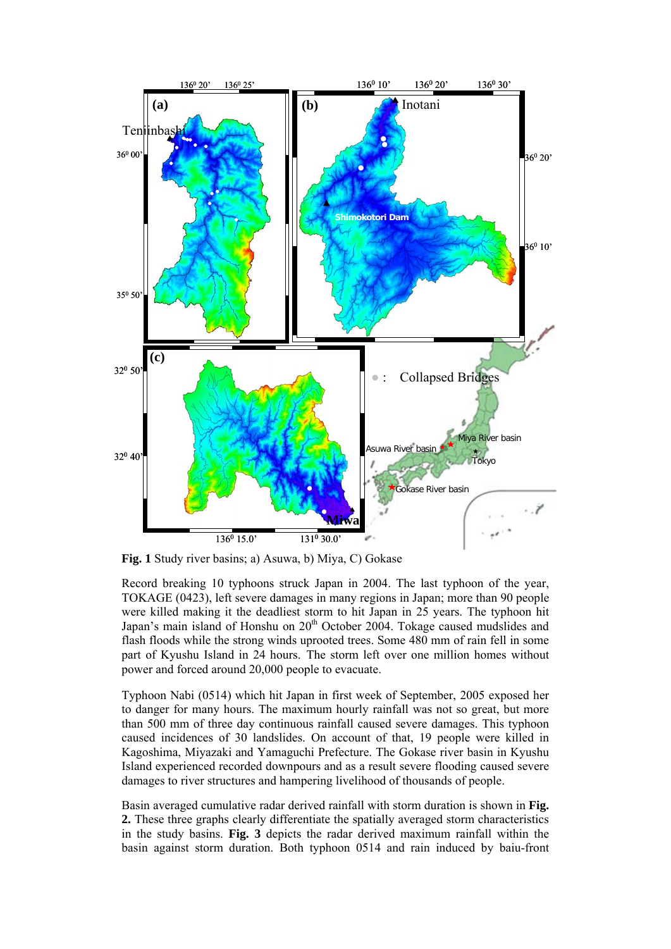

**Fig. 1** Study river basins; a) Asuwa, b) Miya, C) Gokase

Record breaking 10 typhoons struck Japan in 2004. The last typhoon of the year, TOKAGE (0423), left severe damages in many regions in Japan; more than 90 people were killed making it the deadliest storm to hit Japan in 25 years. The typhoon hit Japan's main island of Honshu on 20<sup>th</sup> October 2004. Tokage caused mudslides and flash floods while the strong winds uprooted trees. Some 480 mm of rain fell in some part of Kyushu Island in 24 hours. The storm left over one million homes without power and forced around 20,000 people to evacuate.

Typhoon Nabi (0514) which hit Japan in first week of September, 2005 exposed her to danger for many hours. The maximum hourly rainfall was not so great, but more than 500 mm of three day continuous rainfall caused severe damages. This typhoon caused incidences of 30 landslides. On account of that, 19 people were killed in Kagoshima, Miyazaki and Yamaguchi Prefecture. The Gokase river basin in Kyushu Island experienced recorded downpours and as a result severe flooding caused severe damages to river structures and hampering livelihood of thousands of people.

Basin averaged cumulative radar derived rainfall with storm duration is shown in **Fig. 2.** These three graphs clearly differentiate the spatially averaged storm characteristics in the study basins. **Fig. 3** depicts the radar derived maximum rainfall within the basin against storm duration. Both typhoon 0514 and rain induced by baiu-front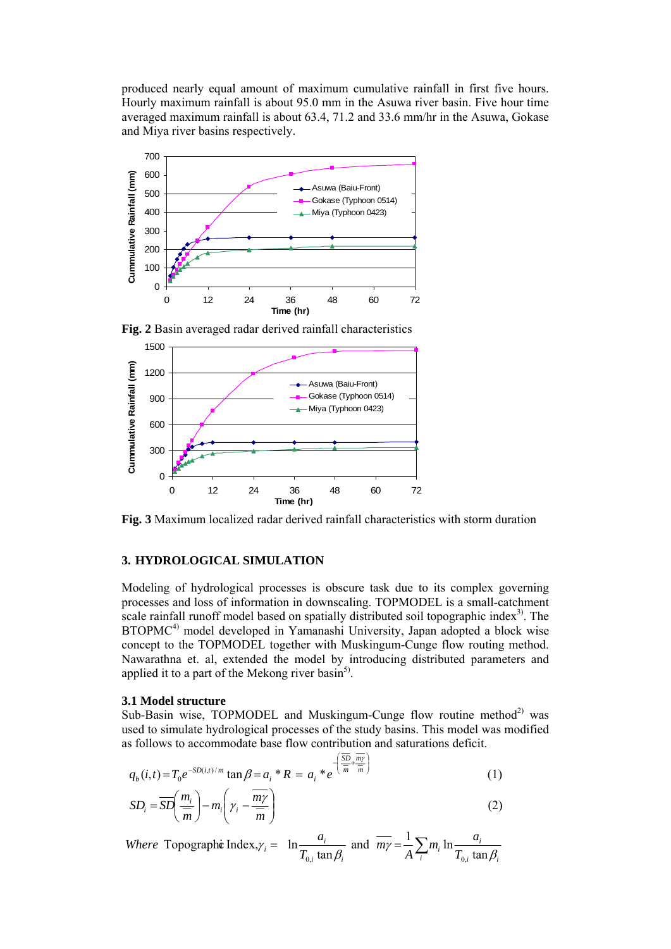produced nearly equal amount of maximum cumulative rainfall in first five hours. Hourly maximum rainfall is about 95.0 mm in the Asuwa river basin. Five hour time averaged maximum rainfall is about 63.4, 71.2 and 33.6 mm/hr in the Asuwa, Gokase and Miya river basins respectively.





**Fig. 2** Basin averaged radar derived rainfall characteristics

**Fig. 3** Maximum localized radar derived rainfall characteristics with storm duration

## **3. HYDROLOGICAL SIMULATION**

Modeling of hydrological processes is obscure task due to its complex governing processes and loss of information in downscaling. TOPMODEL is a small-catchment scale rainfall runoff model based on spatially distributed soil topographic index<sup>3</sup>. The BTOPMC<sup>4)</sup> model developed in Yamanashi University, Japan adopted a block wise concept to the TOPMODEL together with Muskingum-Cunge flow routing method. Nawarathna et. al, extended the model by introducing distributed parameters and applied it to a part of the Mekong river basin<sup>5)</sup>.

#### **3.1 Model structure**

Sub-Basin wise, TOPMODEL and Muskingum-Cunge flow routine method<sup>2)</sup> was used to simulate hydrological processes of the study basins. This model was modified as follows to accommodate base flow contribution and saturations deficit.

$$
q_b(i,t) = T_0 e^{-SD(i,t)/m} \tan \beta = a_i * R = a_i * e^{-\left(\frac{\overline{SD}}{m} + \frac{m\gamma}{m}\right)}
$$
(1)

$$
SD_i = \overline{SD}\left(\frac{m_i}{m}\right) - m_i \left(\gamma_i - \frac{\overline{my}}{m}\right)
$$
 (2)

*i* Topographic Index,  $\gamma_i = \ln \frac{a_i}{T_{0,i} \tan \beta_i}$  and  $\overline{m\gamma} = \frac{1}{A} \sum_i m_i \ln \frac{a_i}{T_{0,i} \tan \beta_i}$  $v_i$   $\ln \frac{u_i}{T}$  $\mu$   $\mathbf{u}$ <sup> $\mathbf{u}$ </sup> $\mu$ <sub>i</sub>  $T_i = \ln \frac{a_i}{T_{0i} \tan \beta_i}$  and  $\overline{m\gamma} = \frac{1}{A} \sum_i m_i \ln \frac{1}{T_i}$  $m_i$  ln  $\frac{a}{a}$ *A m T Where* Topograph**c** Index,  $\gamma_i = \ln \frac{a}{\sigma}$  $\beta_i = \ln \frac{m_i}{T_{0i} \tan \beta_i}$  and  $m\gamma = \frac{1}{A} \sum_i m_i \ln \frac{m_i}{T_{0i} \tan \beta_i}$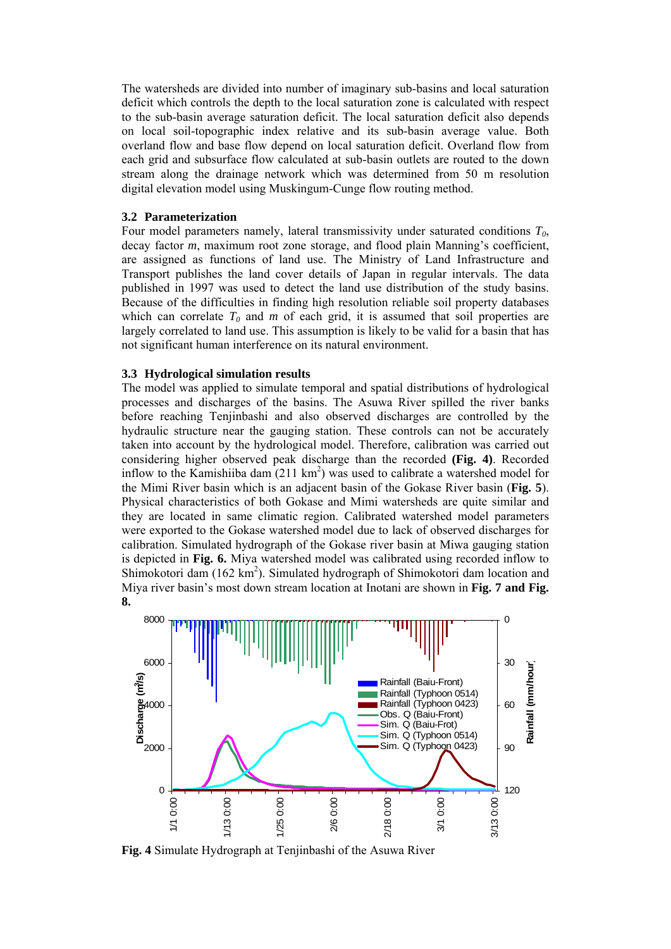The watersheds are divided into number of imaginary sub-basins and local saturation deficit which controls the depth to the local saturation zone is calculated with respect to the sub-basin average saturation deficit. The local saturation deficit also depends on local soil-topographic index relative and its sub-basin average value. Both overland flow and base flow depend on local saturation deficit. Overland flow from each grid and subsurface flow calculated at sub-basin outlets are routed to the down stream along the drainage network which was determined from 50 m resolution digital elevation model using Muskingum-Cunge flow routing method.

### **3.2 Parameterization**

Four model parameters namely, lateral transmissivity under saturated conditions *T0*, decay factor *m*, maximum root zone storage, and flood plain Manning's coefficient, are assigned as functions of land use. The Ministry of Land Infrastructure and Transport publishes the land cover details of Japan in regular intervals. The data published in 1997 was used to detect the land use distribution of the study basins. Because of the difficulties in finding high resolution reliable soil property databases which can correlate  $T_0$  and  $m$  of each grid, it is assumed that soil properties are largely correlated to land use. This assumption is likely to be valid for a basin that has not significant human interference on its natural environment.

### **3.3 Hydrological simulation results**

The model was applied to simulate temporal and spatial distributions of hydrological processes and discharges of the basins. The Asuwa River spilled the river banks before reaching Tenjinbashi and also observed discharges are controlled by the hydraulic structure near the gauging station. These controls can not be accurately taken into account by the hydrological model. Therefore, calibration was carried out considering higher observed peak discharge than the recorded **(Fig. 4)**. Recorded inflow to the Kamishiiba dam  $(211 \text{ km}^2)$  was used to calibrate a watershed model for the Mimi River basin which is an adjacent basin of the Gokase River basin (**Fig. 5**). Physical characteristics of both Gokase and Mimi watersheds are quite similar and they are located in same climatic region. Calibrated watershed model parameters were exported to the Gokase watershed model due to lack of observed discharges for calibration. Simulated hydrograph of the Gokase river basin at Miwa gauging station is depicted in **Fig. 6.** Miya watershed model was calibrated using recorded inflow to Shimokotori dam (162 km<sup>2</sup>). Simulated hydrograph of Shimokotori dam location and Miya river basin's most down stream location at Inotani are shown in **Fig. 7 and Fig. 8.**



**Fig. 4** Simulate Hydrograph at Tenjinbashi of the Asuwa River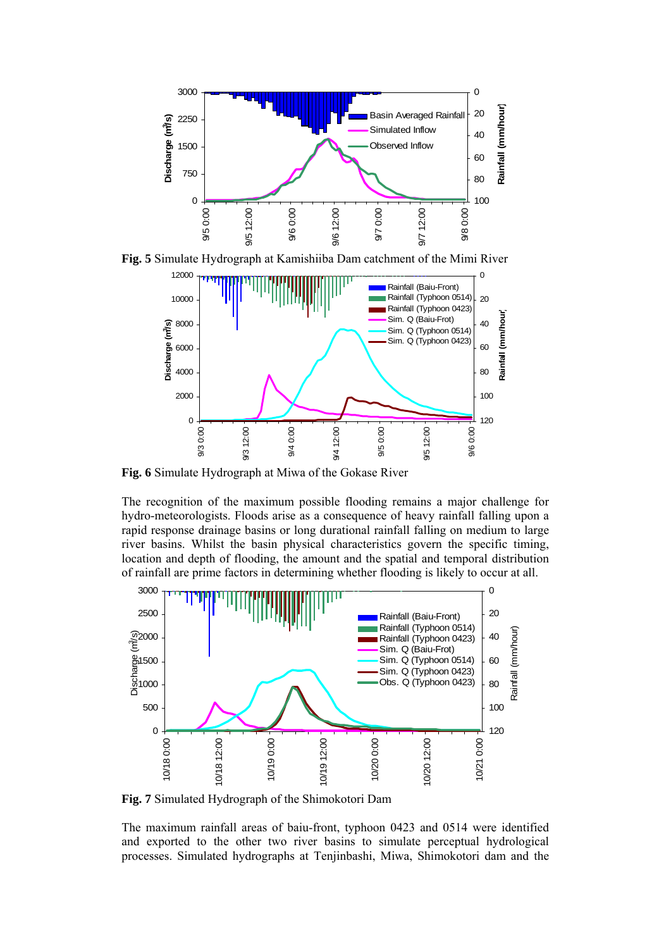

**Fig. 5** Simulate Hydrograph at Kamishiiba Dam catchment of the Mimi River



**Fig. 6** Simulate Hydrograph at Miwa of the Gokase River

The recognition of the maximum possible flooding remains a major challenge for hydro-meteorologists. Floods arise as a consequence of heavy rainfall falling upon a rapid response drainage basins or long durational rainfall falling on medium to large river basins. Whilst the basin physical characteristics govern the specific timing, location and depth of flooding, the amount and the spatial and temporal distribution of rainfall are prime factors in determining whether flooding is likely to occur at all.



**Fig. 7** Simulated Hydrograph of the Shimokotori Dam

The maximum rainfall areas of baiu-front, typhoon 0423 and 0514 were identified and exported to the other two river basins to simulate perceptual hydrological processes. Simulated hydrographs at Tenjinbashi, Miwa, Shimokotori dam and the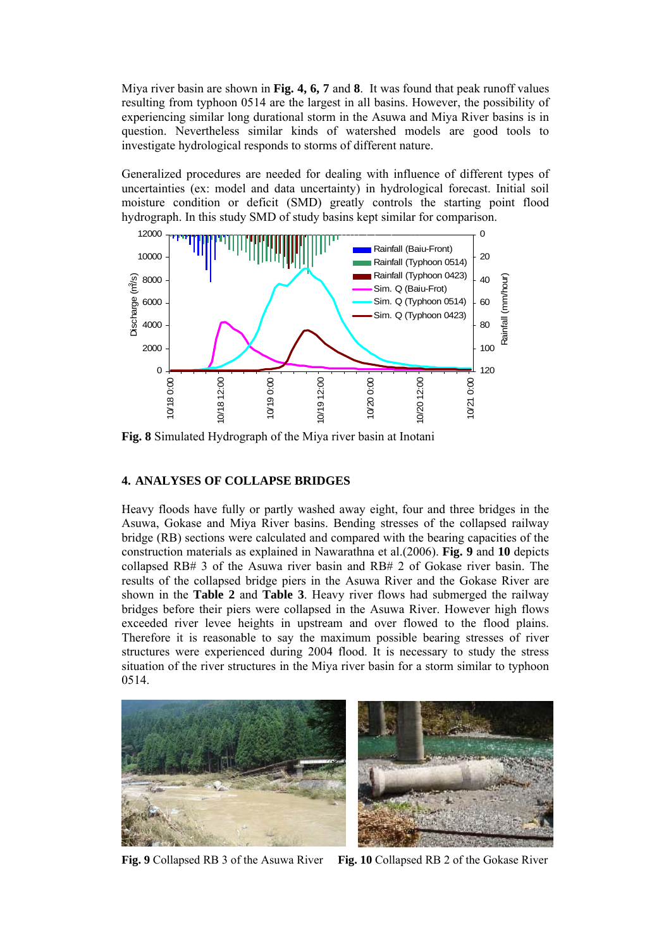Miya river basin are shown in **Fig. 4, 6, 7** and **8**. It was found that peak runoff values resulting from typhoon 0514 are the largest in all basins. However, the possibility of experiencing similar long durational storm in the Asuwa and Miya River basins is in question. Nevertheless similar kinds of watershed models are good tools to investigate hydrological responds to storms of different nature.

Generalized procedures are needed for dealing with influence of different types of uncertainties (ex: model and data uncertainty) in hydrological forecast. Initial soil moisture condition or deficit (SMD) greatly controls the starting point flood hydrograph. In this study SMD of study basins kept similar for comparison.



**Fig. 8** Simulated Hydrograph of the Miya river basin at Inotani

# **4. ANALYSES OF COLLAPSE BRIDGES**

Heavy floods have fully or partly washed away eight, four and three bridges in the Asuwa, Gokase and Miya River basins. Bending stresses of the collapsed railway bridge (RB) sections were calculated and compared with the bearing capacities of the construction materials as explained in Nawarathna et al.(2006). **Fig. 9** and **10** depicts collapsed RB# 3 of the Asuwa river basin and RB# 2 of Gokase river basin. The results of the collapsed bridge piers in the Asuwa River and the Gokase River are shown in the **Table 2** and **Table 3**. Heavy river flows had submerged the railway bridges before their piers were collapsed in the Asuwa River. However high flows exceeded river levee heights in upstream and over flowed to the flood plains. Therefore it is reasonable to say the maximum possible bearing stresses of river structures were experienced during 2004 flood. It is necessary to study the stress situation of the river structures in the Miya river basin for a storm similar to typhoon 0514.



**Fig. 9** Collapsed RB 3 of the Asuwa River **Fig. 10** Collapsed RB 2 of the Gokase River